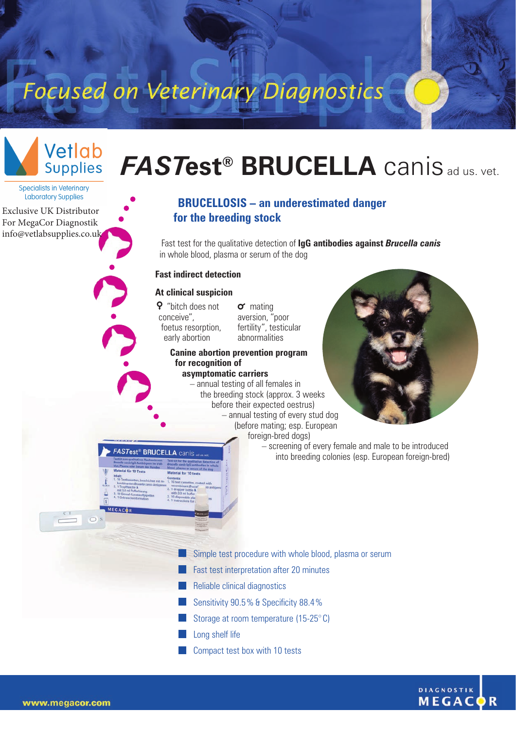## Focused on Veterinary Diagnostics



**Specialists in Veterinary Laboratory Supplies** 

[Exclusive UK Distributor](www.vetlabsupplies.co.uk) For MegaCor Diagnostik [info@vetlabsupplies.co.uk](https://vetlabsupplies.co.uk/about/contact-us/)

# *FAST***est® BRUCELLA** canis ad us. vet.

### **BRUCELLOSIS – an underestimated danger for the breeding stock**

Fast test for the qualitative detection of **IgG antibodies against** *Brucella canis* in whole blood, plasma or serum of the dog

#### **Fast indirect detection**

#### **At clinical suspicion**

 "bitch does not conceive", foetus resorption, early abortion

**FASTest<sup>®</sup> BRUCELLA** canis

 $\sigma$  mating aversion, "poor fertility", testicular abnormalities

#### **Canine abortion prevention program for recognition of**

**asymptomatic carriers** – annual testing of all females in the breeding stock (approx. 3 weeks before their expected oestrus) – annual testing of every stud dog (before mating; esp. European foreign-bred dogs)



– screening of every female and male to be introduced into breeding colonies (esp. European foreign-bred)

- Simple test procedure with whole blood, plasma or serum
- **Fast test interpretation after 20 minutes**
- **Reliable clinical diagnostics**
- Sensitivity 90.5% & Specificity 88.4%
- Storage at room temperature (15-25° C)
- Long shelf life
- **Compact test box with 10 tests**



 $\bigcap$